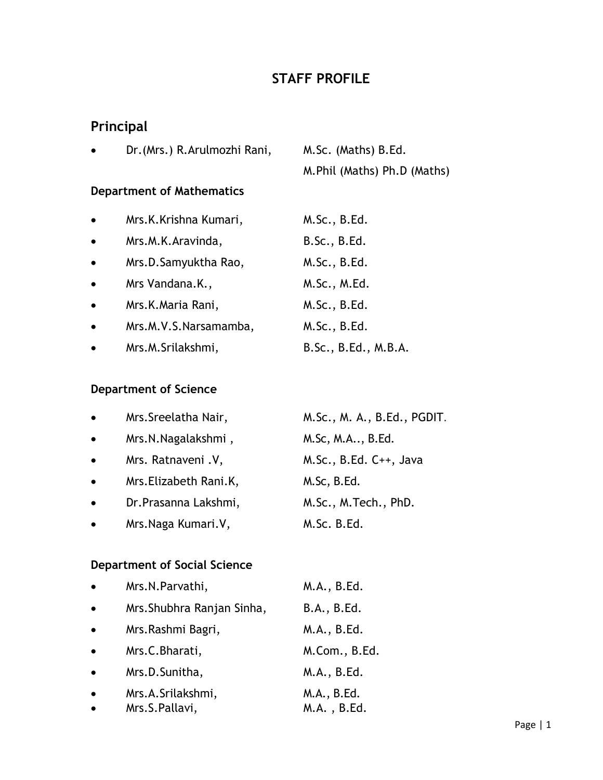# **STAFF PROFILE**

# **Principal**

| $\bullet$ | Dr. (Mrs.) R. Arulmozhi Rani, | M.Sc. (Maths) B.Ed.           |
|-----------|-------------------------------|-------------------------------|
|           |                               | M. Phil (Maths) Ph. D (Maths) |

# **Department of Mathematics**

| $\bullet$ | Mrs.K.Krishna Kumari, | M.Sc., B.Ed.         |
|-----------|-----------------------|----------------------|
| $\bullet$ | Mrs.M.K.Aravinda,     | B.Sc., B.Ed.         |
| $\bullet$ | Mrs.D.Samyuktha Rao,  | M.Sc., B.Ed.         |
| $\bullet$ | Mrs Vandana.K.,       | M.Sc., M.Ed.         |
| $\bullet$ | Mrs.K.Maria Rani,     | M.Sc., B.Ed.         |
| $\bullet$ | Mrs.M.V.S.Narsamamba, | M.Sc., B.Ed.         |
| $\bullet$ | Mrs.M.Srilakshmi,     | B.Sc., B.Ed., M.B.A. |

### **Department of Science**

| $\bullet$ | Mrs. Sreelatha Nair,    | M.Sc., M. A., B.Ed., PGDIT. |
|-----------|-------------------------|-----------------------------|
| $\bullet$ | Mrs.N.Nagalakshmi,      | M.Sc, M.A, B.Ed.            |
| $\bullet$ | Mrs. Ratnaveni .V,      | $M.Sc., B.Ed. C++, Java$    |
| $\bullet$ | Mrs. Elizabeth Rani. K, | M.Sc, B.Ed.                 |
| $\bullet$ | Dr. Prasanna Lakshmi,   | M.Sc., M.Tech., PhD.        |
| $\bullet$ | Mrs. Naga Kumari. V,    | M.Sc. B.Ed.                 |

# **Department of Social Science**

| $\bullet$ | Mrs.N.Parvathi,                     | M.A., B.Ed.                |
|-----------|-------------------------------------|----------------------------|
| $\bullet$ | Mrs. Shubhra Ranjan Sinha,          | B.A., B.Ed.                |
| $\bullet$ | Mrs.Rashmi Bagri,                   | M.A., B.Ed.                |
| $\bullet$ | Mrs.C.Bharati,                      | M.Com., B.Ed.              |
| $\bullet$ | Mrs.D.Sunitha,                      | M.A., B.Ed.                |
| $\bullet$ | Mrs.A.Srilakshmi,<br>Mrs.S.Pallavi, | M.A., B.Ed.<br>M.A., B.Ed. |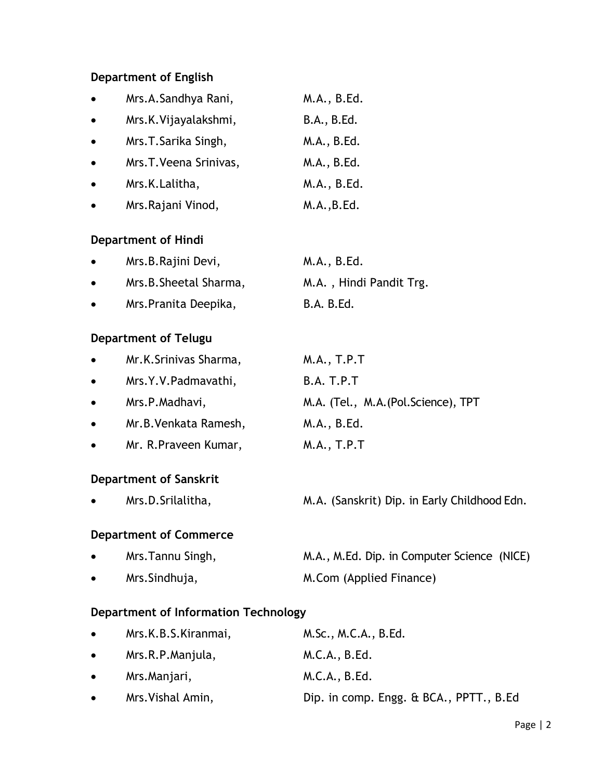### **Department of English**

| $\bullet$ | Mrs.A.Sandhya Rani,    | M.A., B.Ed. |
|-----------|------------------------|-------------|
| $\bullet$ | Mrs.K.Vijayalakshmi,   | B.A., B.Ed. |
| $\bullet$ | Mrs.T.Sarika Singh,    | M.A., B.Ed. |
| $\bullet$ | Mrs.T. Veena Srinivas, | M.A., B.Ed. |
| $\bullet$ | Mrs.K.Lalitha,         | M.A., B.Ed. |
| $\bullet$ | Mrs.Rajani Vinod,      | M.A., B.Ed. |

#### **Department of Hindi**

| $\bullet$ | Mrs.B.Rajini Devi,     | M.A., B.Ed.             |
|-----------|------------------------|-------------------------|
| $\bullet$ | Mrs.B. Sheetal Sharma, | M.A., Hindi Pandit Trg. |
| $\bullet$ | Mrs. Pranita Deepika,  | <b>B.A. B.Ed.</b>       |

### **Department of Telugu**

| $\bullet$ | Mr.K.Srinivas Sharma, | M.A., T.P.T                          |
|-----------|-----------------------|--------------------------------------|
| $\bullet$ | Mrs.Y.V.Padmavathi,   | B.A. T.P.T                           |
| $\bullet$ | Mrs.P.Madhavi,        | M.A. (Tel., M.A. (Pol. Science), TPT |
| $\bullet$ | Mr.B. Venkata Ramesh, | M.A., B.Ed.                          |
| $\bullet$ | Mr. R. Praveen Kumar, | M.A., T.P.T                          |

### **Department of Sanskrit**

Mrs.D.Srilalitha, M.A. (Sanskrit) Dip. in Early Childhood Edn.

#### **Department of Commerce**

• Mrs.Tannu Singh, M.A., M.Ed. Dip. in Computer Science (NICE) • Mrs.Sindhuja, M.Com (Applied Finance)

# **Department of Information Technology**

| $\bullet$                        | Mrs.K.B.S.Kiranmai, | M.Sc., M.C.A., B.Ed.                    |
|----------------------------------|---------------------|-----------------------------------------|
| $\bullet$ . The set of $\bullet$ | Mrs.R.P.Manjula,    | M.C.A., B.Ed.                           |
| $\bullet$                        | Mrs.Manjari,        | M.C.A., B.Ed.                           |
| $\bullet$                        | Mrs. Vishal Amin,   | Dip. in comp. Engg. & BCA., PPTT., B.Ed |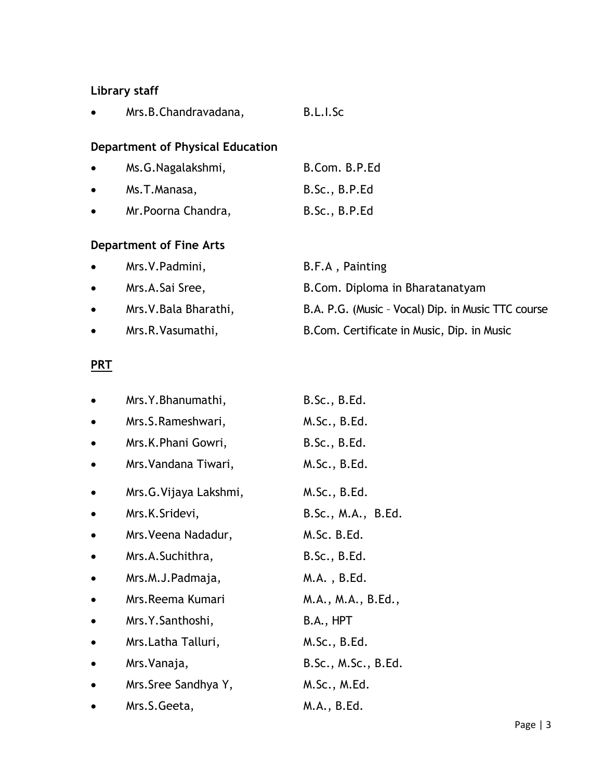# **Library staff**

|  | Mrs.B.Chandravadana, | B.L.I.Sc |
|--|----------------------|----------|
|--|----------------------|----------|

# **Department of Physical Education**

| $\bullet$ | Ms.G.Nagalakshmi,   | B.Com. B.P.Ed |
|-----------|---------------------|---------------|
| $\bullet$ | Ms.T.Manasa,        | B.Sc., B.P.Ed |
| $\bullet$ | Mr. Poorna Chandra, | B.Sc., B.P.Ed |

# **Department of Fine Arts**

| $\bullet$ | Mrs.V.Padmini,         | B.F.A, Painting                                    |
|-----------|------------------------|----------------------------------------------------|
| $\bullet$ | Mrs.A.Sai Sree,        | B.Com. Diploma in Bharatanatyam                    |
| $\bullet$ | Mrs. V. Bala Bharathi, | B.A. P.G. (Music - Vocal) Dip. in Music TTC course |
| $\bullet$ | Mrs.R.Vasumathi,       | B.Com. Certificate in Music, Dip. in Music         |

### **PRT**

|           | Mrs.Y.Bhanumathi,       | B.Sc., B.Ed.        |
|-----------|-------------------------|---------------------|
|           | Mrs.S.Rameshwari,       | M.Sc., B.Ed.        |
|           | Mrs.K.Phani Gowri,      | B.Sc., B.Ed.        |
|           | Mrs. Vandana Tiwari,    | M.Sc., B.Ed.        |
| $\bullet$ | Mrs. G. Vijaya Lakshmi, | M.Sc., B.Ed.        |
| $\bullet$ | Mrs.K.Sridevi,          | B.Sc., M.A., B.Ed.  |
|           | Mrs. Veena Nadadur,     | M.Sc. B.Ed.         |
| ٠         | Mrs.A.Suchithra,        | B.Sc., B.Ed.        |
|           | Mrs.M.J.Padmaja,        | M.A. , B.Ed.        |
|           | Mrs.Reema Kumari        | M.A., M.A., B.Ed.,  |
|           | Mrs.Y.Santhoshi,        | B.A., HPT           |
|           | Mrs.Latha Talluri,      | M.Sc., B.Ed.        |
|           | Mrs. Vanaja,            | B.Sc., M.Sc., B.Ed. |
|           | Mrs. Sree Sandhya Y,    | M.Sc., M.Ed.        |
|           | Mrs.S.Geeta,            | M.A., B.Ed.         |